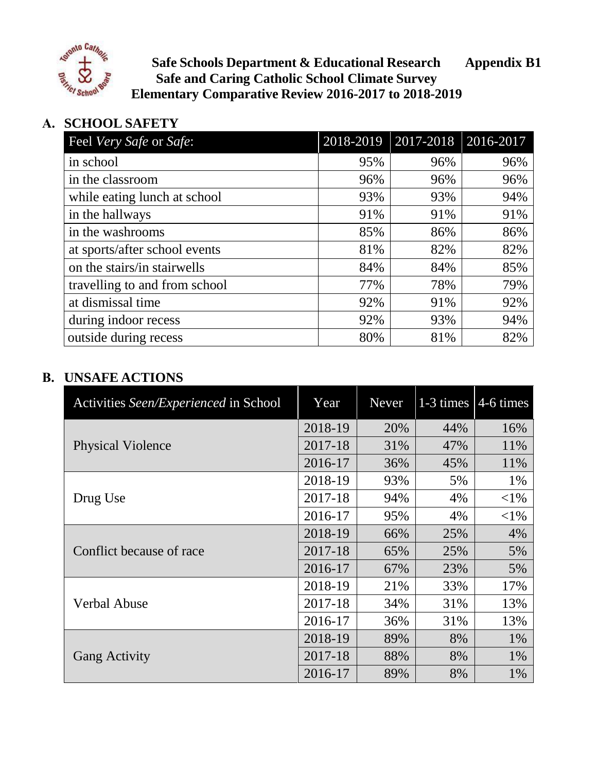

**Safe Schools Department & Educational Research Appendix B1 Safe and Caring Catholic School Climate Survey Elementary Comparative Review 2016-2017 to 2018-2019**

## **A. SCHOOL SAFETY**

| Feel Very Safe or Safe:       | 2018-2019 | $2017 - 2018$ | 2016-2017 |
|-------------------------------|-----------|---------------|-----------|
| in school                     | 95%       | 96%           | 96%       |
| in the classroom              | 96%       | 96%           | 96%       |
| while eating lunch at school  | 93%       | 93%           | 94%       |
| in the hallways               | 91%       | 91%           | 91%       |
| in the washrooms              | 85%       | 86%           | 86%       |
| at sports/after school events | 81%       | 82%           | 82%       |
| on the stairs/in stairwells   | 84%       | 84%           | 85%       |
| travelling to and from school | 77%       | 78%           | 79%       |
| at dismissal time             | 92%       | 91%           | 92%       |
| during indoor recess          | 92%       | 93%           | 94%       |
| outside during recess         | 80%       | 81%           | 82%       |

| Activities Seen/Experienced in School | Year    | <b>Never</b> | $1-3$ times | $4-6$ times |
|---------------------------------------|---------|--------------|-------------|-------------|
|                                       | 2018-19 | 20%          | 44%         | 16%         |
| <b>Physical Violence</b>              | 2017-18 | 31%          | 47%         | 11%         |
|                                       | 2016-17 | 36%          | 45%         | 11%         |
|                                       | 2018-19 | 93%          | 5%          | 1%          |
| Drug Use                              | 2017-18 | 94%          | 4%          | ${<}1\%$    |
|                                       | 2016-17 | 95%          | 4%          | ${<}1\%$    |
|                                       | 2018-19 | 66%          | 25%         | 4%          |
| Conflict because of race              | 2017-18 | 65%          | 25%         | 5%          |
|                                       | 2016-17 | 67%          | 23%         | 5%          |
|                                       | 2018-19 | 21%          | 33%         | 17%         |
| <b>Verbal Abuse</b>                   | 2017-18 | 34%          | 31%         | 13%         |
|                                       | 2016-17 | 36%          | 31%         | 13%         |
| <b>Gang Activity</b>                  | 2018-19 | 89%          | 8%          | 1%          |
|                                       | 2017-18 | 88%          | 8%          | 1%          |
|                                       | 2016-17 | 89%          | 8%          | 1%          |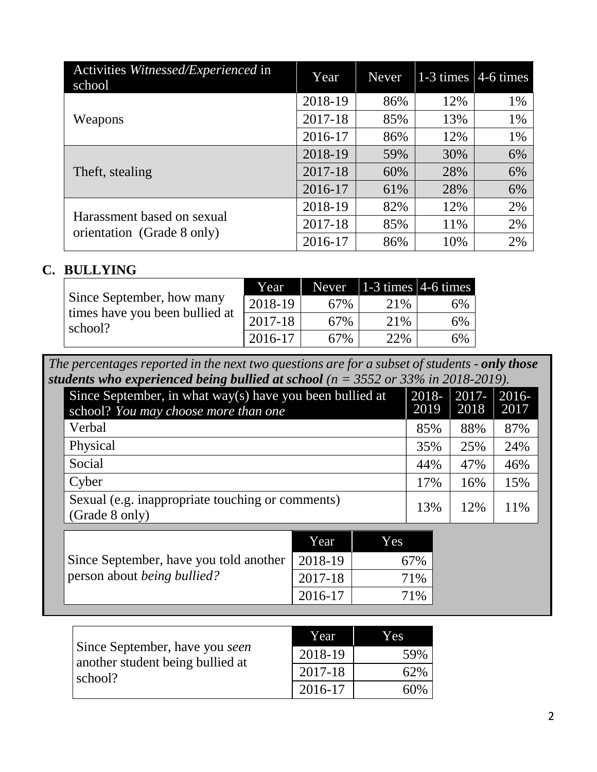| Activities Witnessed/Experienced in<br>school            | Year    | <b>Never</b> | $1-3$ times | $4-6$ times |
|----------------------------------------------------------|---------|--------------|-------------|-------------|
|                                                          | 2018-19 | 86%          | 12%         | 1%          |
| Weapons                                                  | 2017-18 | 85%          | 13%         | 1%          |
|                                                          | 2016-17 | 86%          | 12%         | 1%          |
|                                                          | 2018-19 | 59%          | 30%         | 6%          |
| Theft, stealing                                          | 2017-18 | 60%          | 28%         | 6%          |
|                                                          | 2016-17 | 61%          | 28%         | 6%          |
| Harassment based on sexual<br>orientation (Grade 8 only) | 2018-19 | 82%          | 12%         | 2%          |
|                                                          | 2017-18 | 85%          | 11%         | 2%          |
|                                                          | 2016-17 | 86%          | 10%         | 2%          |

|                                           | Year    |     | Never $ 1-3 \times  4-6 \times  $ |    |
|-------------------------------------------|---------|-----|-----------------------------------|----|
| Since September, how many                 | 2018-19 | 67% | 21\%                              | 6% |
| times have you been bullied at<br>school? | 2017-18 | 67% | 21%                               | 6% |
|                                           | 2016-17 | 67% | 22%                               | 6% |

*The percentages reported in the next two questions are for a subset of students - only those students who experienced being bullied at school (n = 3552 or 33% in 2018-2019).*

| Since September, in what way(s) have you been bullied at<br>school? You may choose more than one | 2018-<br>2019 | $2017 -$<br>2018 | $2016-$<br>2017 |
|--------------------------------------------------------------------------------------------------|---------------|------------------|-----------------|
| Verbal                                                                                           | 85%           | 88%              | 87%             |
| Physical                                                                                         | 35%           | 25%              | 24%             |
| Social                                                                                           | 44%           | 47%              | 46%             |
| Cyber                                                                                            | 17%           | 16%              | 15%             |
| Sexual (e.g. inappropriate touching or comments)<br>(Grade 8 only)                               | 13%           | 12%              | 11%             |

|                                                                                      | Year    | Yes. |
|--------------------------------------------------------------------------------------|---------|------|
| Since September, have you told another 2018-19<br>person about <i>being bullied?</i> |         | 67%  |
|                                                                                      | 2017-18 | 71%  |
|                                                                                      | 2016-17 | 71%  |

|                                                                               | Year    | Yes |
|-------------------------------------------------------------------------------|---------|-----|
| Since September, have you seen<br>another student being bullied at<br>school? | 2018-19 | 59% |
|                                                                               | 2017-18 | 62% |
|                                                                               | 2016-17 | 60% |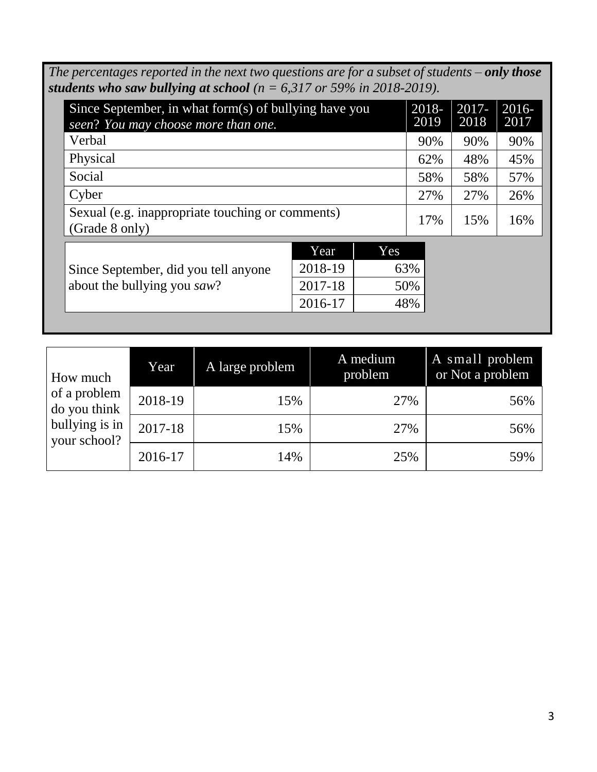*The percentages reported in the next two questions are for a subset of students – only those students who saw bullying at school (n = 6,317 or 59% in 2018-2019).*

| Since September, in what form(s) of bullying have you<br>seen? You may choose more than one. | 2018-<br>2019 | $2017 -$<br>2018 | $2016 -$<br>2017 |
|----------------------------------------------------------------------------------------------|---------------|------------------|------------------|
| Verbal                                                                                       | 90%           | 90%              | 90%              |
| Physical                                                                                     | 62%           | 48%              | 45%              |
| Social                                                                                       | 58%           | 58%              | 57%              |
| Cyber                                                                                        | 27%           | 27%              | 26%              |
| Sexual (e.g. inappropriate touching or comments)<br>(Grade 8 only)                           | 17%           | 15%              | 16%              |
| $\sqrt{2}$<br>$\overline{\phantom{a}}$                                                       |               |                  |                  |

Since September, did you tell anyone about the bullying you *saw*?

| Year    | Yes |
|---------|-----|
| 2018-19 | 63% |
| 2017-18 | 50% |
| 2016-17 | 48% |
|         |     |

| How much                       | Year    | A large problem | A medium<br>problem | A small problem<br>or Not a problem |
|--------------------------------|---------|-----------------|---------------------|-------------------------------------|
| of a problem<br>do you think   | 2018-19 | 15%             | 27%                 | 56%                                 |
| bullying is in<br>your school? | 2017-18 | 15%             | 27%                 | 56%                                 |
|                                | 2016-17 | 14%             | 25%                 | 59%                                 |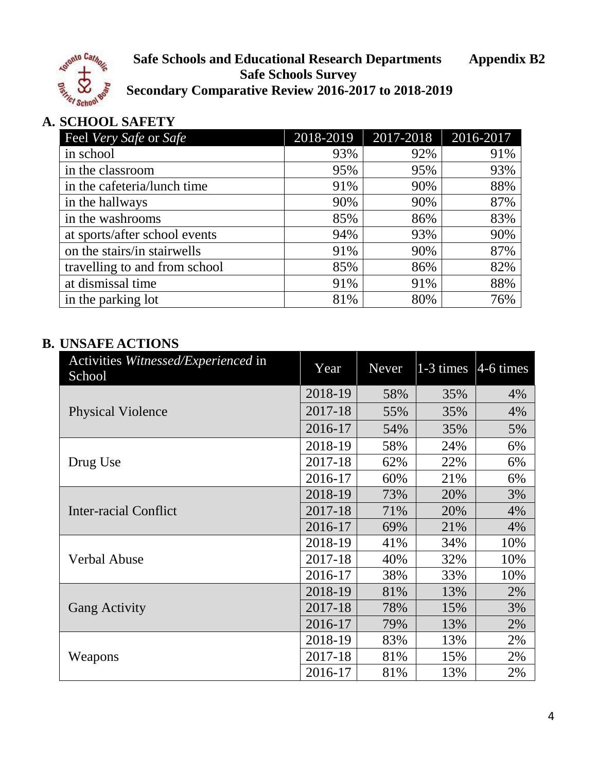

**Safe Schools and Educational Research Departments Appendix B2 Safe Schools Survey Secondary Comparative Review 2016-2017 to 2018-2019**

# **A. SCHOOL SAFETY**

| Feel Very Safe or Safe        | 2018-2019 | 2017-2018 | 2016-2017 |
|-------------------------------|-----------|-----------|-----------|
| in school                     | 93%       | 92%       | 91%       |
| in the classroom              | 95%       | 95%       | 93%       |
| in the cafeteria/lunch time   | 91%       | 90%       | 88%       |
| in the hallways               | 90%       | 90%       | 87%       |
| in the washrooms              | 85%       | 86%       | 83%       |
| at sports/after school events | 94%       | 93%       | 90%       |
| on the stairs/in stairwells   | 91%       | 90%       | 87%       |
| travelling to and from school | 85%       | 86%       | 82%       |
| at dismissal time             | 91%       | 91%       | 88%       |
| in the parking lot            | 81%       | 80%       | 76%       |

| Activities Witnessed/Experienced in<br>School | Year    | Never | $1-3$ times | $4-6$ times |
|-----------------------------------------------|---------|-------|-------------|-------------|
|                                               | 2018-19 | 58%   | 35%         | 4%          |
| <b>Physical Violence</b>                      | 2017-18 | 55%   | 35%         | 4%          |
|                                               | 2016-17 | 54%   | 35%         | 5%          |
|                                               | 2018-19 | 58%   | 24%         | 6%          |
| Drug Use                                      | 2017-18 | 62%   | 22%         | 6%          |
|                                               | 2016-17 | 60%   | 21%         | 6%          |
|                                               | 2018-19 | 73%   | 20%         | 3%          |
| Inter-racial Conflict                         | 2017-18 | 71%   | 20%         | 4%          |
|                                               | 2016-17 | 69%   | 21%         | 4%          |
|                                               | 2018-19 | 41%   | 34%         | 10%         |
| <b>Verbal Abuse</b>                           | 2017-18 | 40%   | 32%         | 10%         |
|                                               | 2016-17 | 38%   | 33%         | 10%         |
|                                               | 2018-19 | 81%   | 13%         | 2%          |
| <b>Gang Activity</b>                          | 2017-18 | 78%   | 15%         | 3%          |
|                                               | 2016-17 | 79%   | 13%         | 2%          |
| Weapons                                       | 2018-19 | 83%   | 13%         | 2%          |
|                                               | 2017-18 | 81%   | 15%         | 2%          |
|                                               | 2016-17 | 81%   | 13%         | 2%          |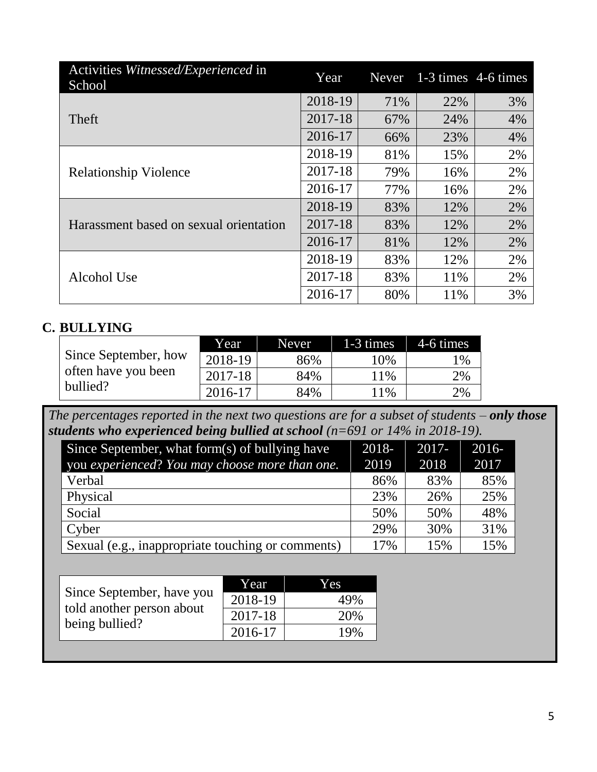| Activities Witnessed/Experienced in<br>School | Year    | Never | 1-3 times 4-6 times |    |
|-----------------------------------------------|---------|-------|---------------------|----|
|                                               | 2018-19 | 71%   | 22%                 | 3% |
| <b>Theft</b>                                  | 2017-18 | 67%   | 24%                 | 4% |
|                                               | 2016-17 | 66%   | 23%                 | 4% |
|                                               | 2018-19 | 81%   | 15%                 | 2% |
| <b>Relationship Violence</b>                  | 2017-18 | 79%   | 16%                 | 2% |
|                                               | 2016-17 | 77%   | 16%                 | 2% |
|                                               | 2018-19 | 83%   | 12%                 | 2% |
| Harassment based on sexual orientation        | 2017-18 | 83%   | 12%                 | 2% |
|                                               | 2016-17 | 81%   | 12%                 | 2% |
|                                               | 2018-19 | 83%   | 12%                 | 2% |
| <b>Alcohol Use</b>                            | 2017-18 | 83%   | 11%                 | 2% |
|                                               | 2016-17 | 80%   | 11%                 | 3% |

|                      | Year    | Never <sub>1</sub> | 1-3 times | 4-6 times |
|----------------------|---------|--------------------|-----------|-----------|
| Since September, how | 2018-19 | 86%                | 10%       | 1%        |
| often have you been  | 2017-18 | 84%                | 11%       | 2%        |
| bullied?             | 2016-17 | 84%                | 1%        | 2%        |

*The percentages reported in the next two questions are for a subset of students – only those students who experienced being bullied at school (n=691 or 14% in 2018-19).* 

| Since September, what form $(s)$ of bullying have | 2018- | $2017 -$ | $2016 -$ |
|---------------------------------------------------|-------|----------|----------|
| you experienced? You may choose more than one.    | 2019  | 2018     | 2017     |
| Verbal                                            | 86%   | 83%      | 85%      |
| Physical                                          | 23%   | 26%      | 25%      |
| Social                                            | 50%   | 50%      | 48%      |
| Cyber                                             | 29%   | 30%      | 31%      |
| Sexual (e.g., inappropriate touching or comments) | 17%   | 15%      | 15%      |

|                                                                          | Year    | Yes |
|--------------------------------------------------------------------------|---------|-----|
| Since September, have you<br>told another person about<br>being bullied? | 2018-19 | 49% |
|                                                                          | 2017-18 | 20% |
|                                                                          | 2016-17 | 19% |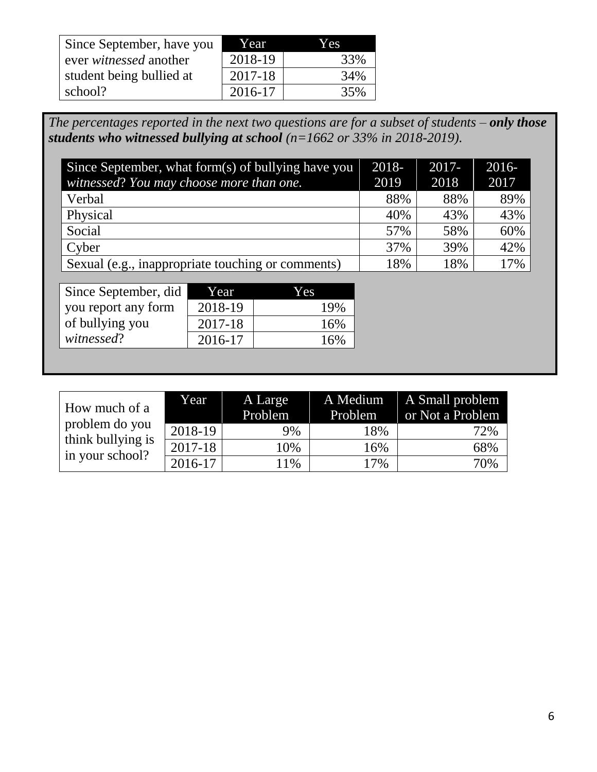| Since September, have you     | Year    | Yes. |
|-------------------------------|---------|------|
| ever <i>witnessed</i> another | 2018-19 | 33%  |
| student being bullied at      | 2017-18 | 34%  |
| school?                       | 2016-17 | 35%  |

*The percentages reported in the next two questions are for a subset of students – only those students who witnessed bullying at school (n=1662 or 33% in 2018-2019).*

| Since September, what form(s) of bullying have you | 2018- | $2017 -$ | $2016 -$ |
|----------------------------------------------------|-------|----------|----------|
| witnessed? You may choose more than one.           | 2019  | 2018     | 2017     |
| Verbal                                             | 88%   | 88%      | 89%      |
| Physical                                           | 40%   | 43%      | 43%      |
| Social                                             | 57%   | 58%      | 60%      |
| Cyber                                              | 37%   | 39%      | 42%      |
| Sexual (e.g., inappropriate touching or comments)  | 18%   | 18%      | 17%      |

| Since September, did | Year    | Y es |
|----------------------|---------|------|
| you report any form  | 2018-19 | 19%  |
| of bullying you      | 2017-18 | 16%  |
| witnessed?           | 2016-17 | 16%  |

| How much of a                        | Year    | A Large<br>Problem | A Medium<br>Problem | A Small problem<br>or Not a Problem |
|--------------------------------------|---------|--------------------|---------------------|-------------------------------------|
| problem do you                       | 2018-19 | 9%                 | 18%                 | 72%                                 |
| think bullying is<br>in your school? | 2017-18 | 10%                | 16%                 | 68%                                 |
|                                      | 2016-17 | 11%                | 17%                 | 70%                                 |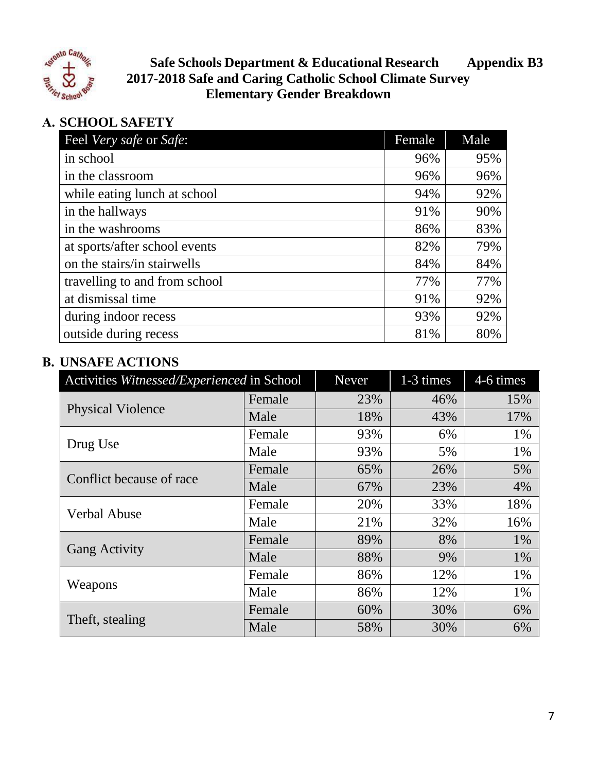

**Safe Schools Department & Educational Research Appendix B3 2017-2018 Safe and Caring Catholic School Climate Survey Elementary Gender Breakdown**

# **A. SCHOOL SAFETY**

| Feel Very safe or Safe:       | Female | Male |
|-------------------------------|--------|------|
| in school                     | 96%    | 95%  |
| in the classroom              | 96%    | 96%  |
| while eating lunch at school  | 94%    | 92%  |
| in the hallways               | 91%    | 90%  |
| in the washrooms              | 86%    | 83%  |
| at sports/after school events | 82%    | 79%  |
| on the stairs/in stairwells   | 84%    | 84%  |
| travelling to and from school | 77%    | 77%  |
| at dismissal time             | 91%    | 92%  |
| during indoor recess          | 93%    | 92%  |
| outside during recess         | 81%    | 80%  |

| Activities Witnessed/Experienced in School |        | <b>Never</b> | 1-3 times | 4-6 times |
|--------------------------------------------|--------|--------------|-----------|-----------|
| <b>Physical Violence</b>                   | Female | 23%          | 46%       | 15%       |
|                                            | Male   | 18%          | 43%       | 17%       |
|                                            | Female | 93%          | 6%        | 1%        |
| Drug Use                                   | Male   | 93%          | 5%        | 1%        |
| Conflict because of race                   | Female | 65%          | 26%       | 5%        |
|                                            | Male   | 67%          | 23%       | 4%        |
| <b>Verbal Abuse</b>                        | Female | 20%          | 33%       | 18%       |
|                                            | Male   | 21%          | 32%       | 16%       |
|                                            | Female | 89%          | 8%        | $1\%$     |
| <b>Gang Activity</b>                       | Male   | 88%          | 9%        | $1\%$     |
|                                            | Female | 86%          | 12%       | 1%        |
| Weapons                                    | Male   | 86%          | 12%       | 1%        |
| Theft, stealing                            | Female | 60%          | 30%       | 6%        |
|                                            | Male   | 58%          | 30%       | 6%        |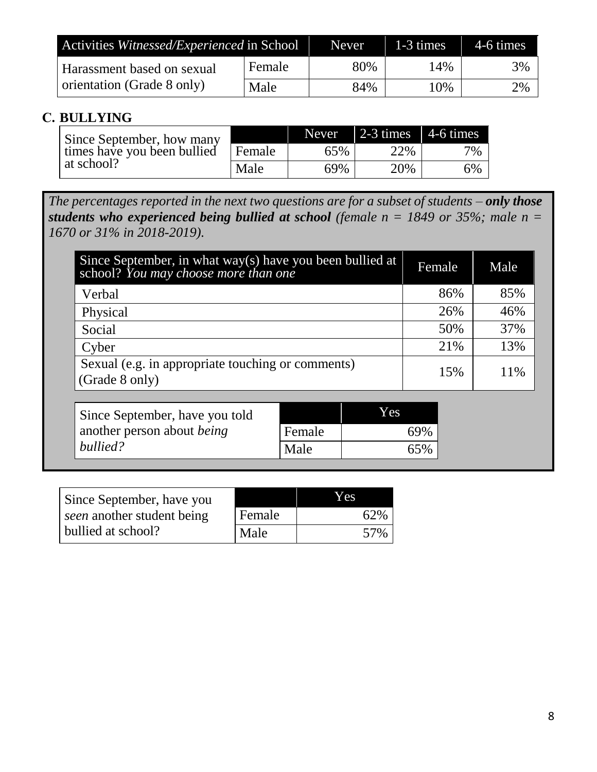| Activities Witnessed/Experienced in School |        | Never. | $1-3$ times | 4-6 times |
|--------------------------------------------|--------|--------|-------------|-----------|
| Harassment based on sexual                 | Female | 80%    | 14%         | 3%        |
| orientation (Grade 8 only)                 | Male   | 84%    | 10%         | 2%        |

| Since September, how many   |        |     | Never $\vert$ 2-3 times $\vert$ 4-6 times |    |
|-----------------------------|--------|-----|-------------------------------------------|----|
| times have you been bullied | Female | 65% | 22%                                       | 7% |
| at school?                  | Male   | 69% | 20%                                       | 6% |

*The percentages reported in the next two questions are for a subset of students – only those students who experienced being bullied at school (female n = 1849 or 35%; male n = 1670 or 31% in 2018-2019).*

| Since September, in what way(s) have you been bullied at<br>school? You may choose more than one |        |     |     | Female | Male |
|--------------------------------------------------------------------------------------------------|--------|-----|-----|--------|------|
| Verbal                                                                                           |        |     |     | 86%    | 85%  |
| Physical                                                                                         |        |     |     | 26%    | 46%  |
| Social                                                                                           |        |     |     | 50%    | 37%  |
| Cyber                                                                                            |        |     |     | 21%    | 13%  |
| Sexual (e.g. in appropriate touching or comments)<br>(Grade 8 only)                              |        |     |     | 15%    | 11%  |
|                                                                                                  |        |     |     |        |      |
| Since September, have you told                                                                   |        | Yes |     |        |      |
| another person about <i>being</i>                                                                | Female |     | 69% |        |      |
| bullied?                                                                                         | Male   |     | 65% |        |      |

| Since September, have you  |        | Yes |
|----------------------------|--------|-----|
| seen another student being | Female | 62% |
| bullied at school?         | Male   | 57% |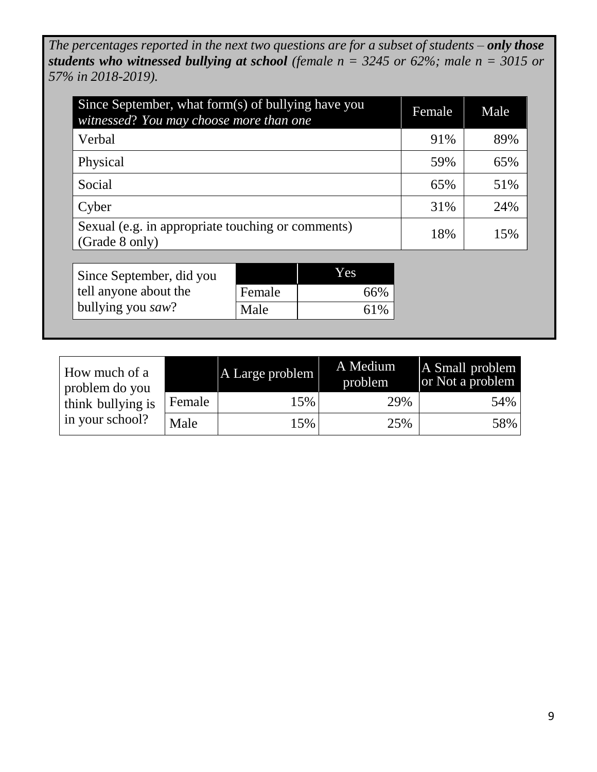*The percentages reported in the next two questions are for a subset of students – only those students who witnessed bullying at school (female n = 3245 or 62%; male n = 3015 or 57% in 2018-2019).*

| Since September, what form(s) of bullying have you<br>witnessed? You may choose more than one | Female | Male |
|-----------------------------------------------------------------------------------------------|--------|------|
| Verbal                                                                                        | 91%    | 89%  |
| Physical                                                                                      | 59%    | 65%  |
| Social                                                                                        | 65%    | 51%  |
| Cyber                                                                                         | 31%    | 24%  |
| Sexual (e.g. in appropriate touching or comments)<br>(Grade 8 only)                           | 18%    | 15%  |

| Since September, did you |        | Yes |
|--------------------------|--------|-----|
| tell anyone about the    | Female | 66% |
| bullying you saw?        | Male   | 61% |

| How much of a<br>problem do you |        | A Large problem | A Medium<br>problem | A Small problem<br>or Not a problem |
|---------------------------------|--------|-----------------|---------------------|-------------------------------------|
| think bullying is               | Female | 15%             | 29%                 | 54%                                 |
| in your school?                 | Male   | 15%             | 25%                 | 58%                                 |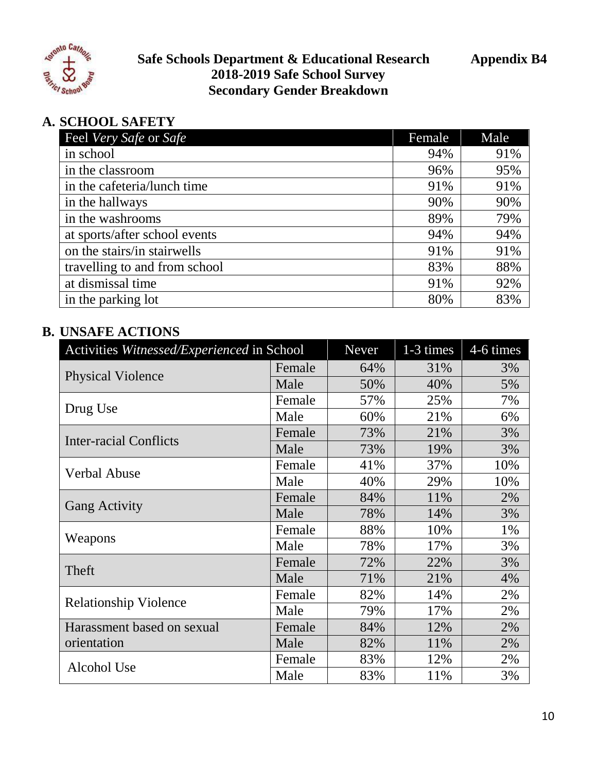

**Safe Schools Department & Educational Research Appendix B4 2018-2019 Safe School Survey Secondary Gender Breakdown**

# **A. SCHOOL SAFETY**

| Feel Very Safe or Safe        | Female | Male |
|-------------------------------|--------|------|
| in school                     | 94%    | 91%  |
| in the classroom              | 96%    | 95%  |
| in the cafeteria/lunch time   | 91%    | 91%  |
| in the hallways               | 90%    | 90%  |
| in the washrooms              | 89%    | 79%  |
| at sports/after school events | 94%    | 94%  |
| on the stairs/in stairwells   | 91%    | 91%  |
| travelling to and from school | 83%    | 88%  |
| at dismissal time             | 91%    | 92%  |
| in the parking lot            | 80%    | 83%  |

| Activities Witnessed/Experienced in School |        | Never | 1-3 times | 4-6 times |
|--------------------------------------------|--------|-------|-----------|-----------|
|                                            | Female | 64%   | 31%       | 3%        |
| <b>Physical Violence</b>                   | Male   | 50%   | 40%       | 5%        |
|                                            | Female | 57%   | 25%       | 7%        |
| Drug Use                                   | Male   | 60%   | 21%       | 6%        |
| <b>Inter-racial Conflicts</b>              | Female | 73%   | 21%       | 3%        |
|                                            | Male   | 73%   | 19%       | 3%        |
| <b>Verbal Abuse</b>                        | Female | 41%   | 37%       | 10%       |
|                                            | Male   | 40%   | 29%       | 10%       |
|                                            | Female | 84%   | 11%       | 2%        |
| <b>Gang Activity</b>                       | Male   | 78%   | 14%       | 3%        |
|                                            | Female | 88%   | 10%       | 1%        |
| Weapons                                    | Male   | 78%   | 17%       | 3%        |
| Theft                                      | Female | 72%   | 22%       | 3%        |
|                                            | Male   | 71%   | 21%       | 4%        |
|                                            | Female | 82%   | 14%       | 2%        |
| <b>Relationship Violence</b>               | Male   | 79%   | 17%       | 2%        |
| Harassment based on sexual                 | Female | 84%   | 12%       | 2%        |
| orientation                                | Male   | 82%   | 11%       | 2%        |
| Alcohol Use                                | Female | 83%   | 12%       | 2%        |
|                                            | Male   | 83%   | 11%       | 3%        |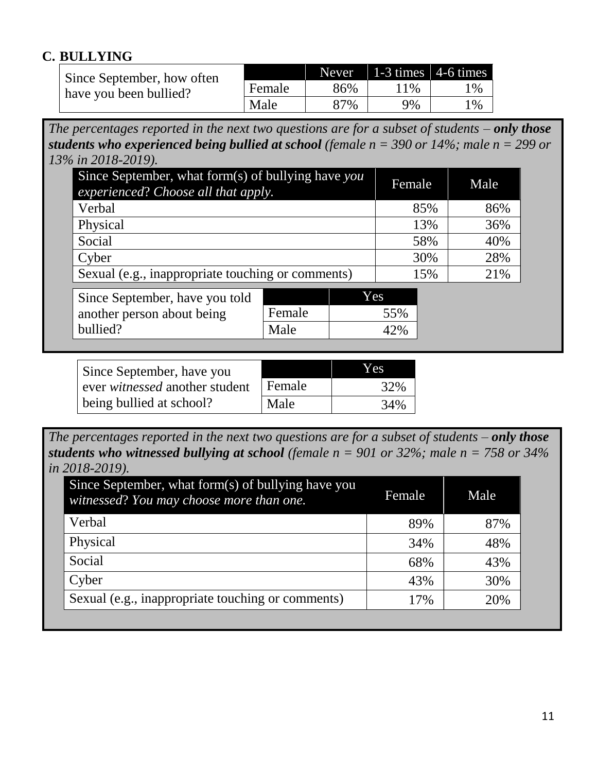| Since September, how often |        |     | Never   1-3 times   4-6 times |       |
|----------------------------|--------|-----|-------------------------------|-------|
| have you been bullied?     | Female | 86% | 11%                           | $1\%$ |
|                            | Male   | 87% | 9%                            | $1\%$ |

*The percentages reported in the next two questions are for a subset of students – only those students who experienced being bullied at school (female n = 390 or 14%; male n = 299 or 13% in 2018-2019).*

| Since September, what form(s) of bullying have you<br>experienced? Choose all that apply. |                |     | Female     | Male |
|-------------------------------------------------------------------------------------------|----------------|-----|------------|------|
| Verbal                                                                                    |                |     | 85%        | 86%  |
| Physical                                                                                  |                |     | 13%        | 36%  |
| Social                                                                                    |                |     | 58%        | 40%  |
| Cyber                                                                                     |                |     | 30%        | 28%  |
| Sexual (e.g., inappropriate touching or comments)                                         |                |     | 15%        | 21%  |
| Since September, have you told<br>another person about being<br>bullied?                  | Female<br>Male | Yes | 55%<br>42% |      |

| Since September, have you      |        | Yes |
|--------------------------------|--------|-----|
| ever witnessed another student | Female | 32% |
| being bullied at school?       | Male   | 34% |

*The percentages reported in the next two questions are for a subset of students – only those students who witnessed bullying at school (female n = 901 or 32%; male n = 758 or 34% in 2018-2019).*

| Since September, what form(s) of bullying have you<br>witnessed? You may choose more than one. | Female | Male |
|------------------------------------------------------------------------------------------------|--------|------|
| Verbal                                                                                         | 89%    | 87%  |
| Physical                                                                                       | 34%    | 48%  |
| Social                                                                                         | 68%    | 43%  |
| Cyber                                                                                          | 43%    | 30%  |
| Sexual (e.g., inappropriate touching or comments)                                              | 17%    | 20%  |